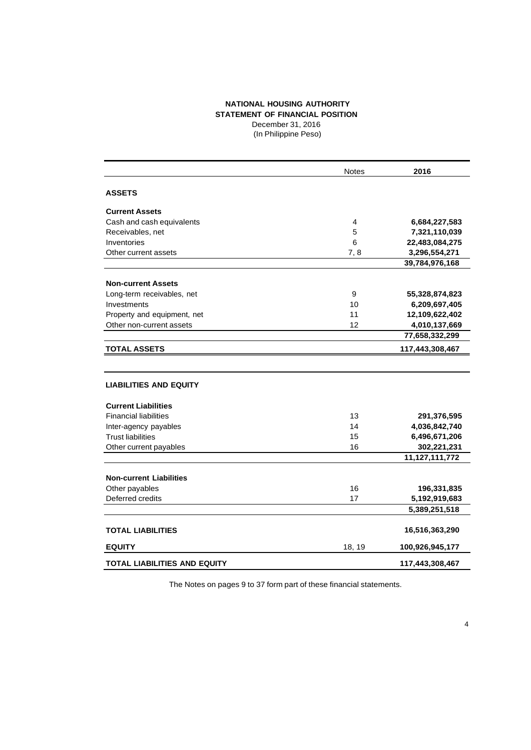### **NATIONAL HOUSING AUTHORITY STATEMENT OF FINANCIAL POSITION** December 31, 2016

(In Philippine Peso)

|                                     | <b>Notes</b> | 2016              |
|-------------------------------------|--------------|-------------------|
| <b>ASSETS</b>                       |              |                   |
| <b>Current Assets</b>               |              |                   |
| Cash and cash equivalents           | 4            | 6,684,227,583     |
| Receivables, net                    | 5            | 7,321,110,039     |
| Inventories                         | 6            | 22,483,084,275    |
| Other current assets                | 7,8          | 3,296,554,271     |
|                                     |              | 39,784,976,168    |
| <b>Non-current Assets</b>           |              |                   |
| Long-term receivables, net          | 9            | 55,328,874,823    |
| Investments                         | 10           | 6,209,697,405     |
| Property and equipment, net         | 11           | 12,109,622,402    |
| Other non-current assets            | 12           | 4,010,137,669     |
|                                     |              | 77,658,332,299    |
| <b>TOTAL ASSETS</b>                 |              | 117,443,308,467   |
|                                     |              |                   |
| <b>LIABILITIES AND EQUITY</b>       |              |                   |
| <b>Current Liabilities</b>          |              |                   |
| <b>Financial liabilities</b>        | 13           | 291,376,595       |
| Inter-agency payables               | 14           | 4,036,842,740     |
| <b>Trust liabilities</b>            | 15           | 6,496,671,206     |
| Other current payables              | 16           | 302,221,231       |
|                                     |              | 11, 127, 111, 772 |
| <b>Non-current Liabilities</b>      |              |                   |
| Other payables                      | 16           | 196,331,835       |
| Deferred credits                    | 17           | 5,192,919,683     |
|                                     |              | 5,389,251,518     |
| <b>TOTAL LIABILITIES</b>            |              | 16,516,363,290    |
|                                     |              |                   |
| <b>EQUITY</b>                       | 18, 19       | 100,926,945,177   |
| <b>TOTAL LIABILITIES AND EQUITY</b> |              | 117,443,308,467   |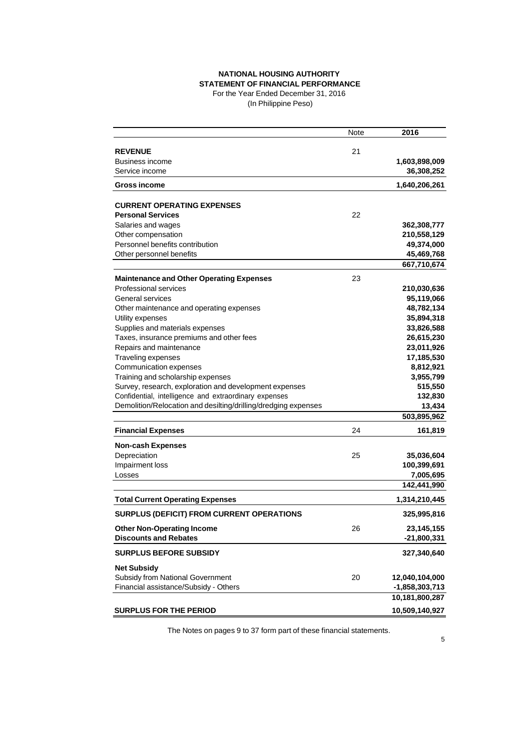## **NATIONAL HOUSING AUTHORITY STATEMENT OF FINANCIAL PERFORMANCE**

For the Year Ended December 31, 2016 (In Philippine Peso)

|                                                                | Note | 2016                        |
|----------------------------------------------------------------|------|-----------------------------|
|                                                                | 21   |                             |
| <b>REVENUE</b><br>Business income                              |      |                             |
| Service income                                                 |      | 1,603,898,009<br>36,308,252 |
| <b>Gross income</b>                                            |      | 1,640,206,261               |
|                                                                |      |                             |
| <b>CURRENT OPERATING EXPENSES</b>                              |      |                             |
| <b>Personal Services</b>                                       | 22   |                             |
| Salaries and wages                                             |      | 362,308,777                 |
| Other compensation                                             |      | 210,558,129                 |
| Personnel benefits contribution                                |      | 49,374,000                  |
| Other personnel benefits                                       |      | 45,469,768                  |
|                                                                |      | 667,710,674                 |
| <b>Maintenance and Other Operating Expenses</b>                | 23   |                             |
| <b>Professional services</b>                                   |      | 210,030,636                 |
| General services                                               |      | 95,119,066                  |
| Other maintenance and operating expenses                       |      | 48,782,134                  |
| Utility expenses                                               |      | 35,894,318                  |
| Supplies and materials expenses                                |      | 33,826,588                  |
| Taxes, insurance premiums and other fees                       |      | 26,615,230                  |
| Repairs and maintenance                                        |      | 23,011,926                  |
| Traveling expenses                                             |      | 17,185,530                  |
| Communication expenses                                         |      | 8,812,921                   |
| Training and scholarship expenses                              |      | 3,955,799                   |
| Survey, research, exploration and development expenses         |      | 515,550                     |
| Confidential, intelligence and extraordinary expenses          |      | 132,830                     |
| Demolition/Relocation and desilting/drilling/dredging expenses |      | 13,434                      |
|                                                                |      | 503,895,962                 |
| <b>Financial Expenses</b>                                      | 24   | 161,819                     |
| <b>Non-cash Expenses</b>                                       |      |                             |
| Depreciation                                                   | 25   | 35,036,604                  |
| Impairment loss                                                |      | 100,399,691                 |
| Losses                                                         |      | 7,005,695                   |
|                                                                |      | 142,441,990                 |
| <b>Total Current Operating Expenses</b>                        |      | 1,314,210,445               |
| <b>SURPLUS (DEFICIT) FROM CURRENT OPERATIONS</b>               |      | 325,995,816                 |
| <b>Other Non-Operating Income</b>                              | 26   | 23, 145, 155                |
| <b>Discounts and Rebates</b>                                   |      | -21,800,331                 |
| <b>SURPLUS BEFORE SUBSIDY</b>                                  |      | 327,340,640                 |
| <b>Net Subsidy</b>                                             |      |                             |
| Subsidy from National Government                               | 20   | 12,040,104,000              |
| Financial assistance/Subsidy - Others                          |      | -1,858,303,713              |
|                                                                |      | 10,181,800,287              |
| <b>SURPLUS FOR THE PERIOD</b>                                  |      | 10,509,140,927              |
|                                                                |      |                             |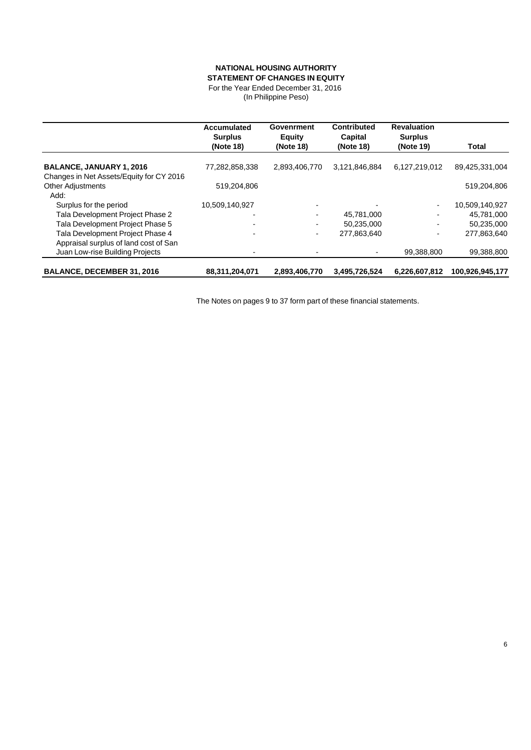#### **NATIONAL HOUSING AUTHORITY STATEMENT OF CHANGES IN EQUITY**

For the Year Ended December 31, 2016

(In Philippine Peso)

|                                          | Accumulated<br><b>Surplus</b> | Govenrment<br><b>Equity</b> | <b>Contributed</b><br>Capital | <b>Revaluation</b><br><b>Surplus</b> |                 |
|------------------------------------------|-------------------------------|-----------------------------|-------------------------------|--------------------------------------|-----------------|
|                                          | (Note 18)                     | (Note 18)                   | (Note 18)                     | (Note 19)                            | <b>Total</b>    |
| <b>BALANCE, JANUARY 1, 2016</b>          | 77,282,858,338                | 2,893,406,770               | 3,121,846,884                 | 6,127,219,012                        | 89,425,331,004  |
| Changes in Net Assets/Equity for CY 2016 |                               |                             |                               |                                      |                 |
| <b>Other Adjustments</b>                 | 519,204,806                   |                             |                               |                                      | 519,204,806     |
| Add:                                     |                               |                             |                               |                                      |                 |
| Surplus for the period                   | 10,509,140,927                |                             |                               |                                      | 10,509,140,927  |
| Tala Development Project Phase 2         |                               |                             | 45,781,000                    |                                      | 45,781,000      |
| Tala Development Project Phase 5         |                               |                             | 50,235,000                    |                                      | 50,235,000      |
| Tala Development Project Phase 4         |                               | ۰.                          | 277.863.640                   |                                      | 277,863,640     |
| Appraisal surplus of land cost of San    |                               |                             |                               |                                      |                 |
| Juan Low-rise Building Projects          |                               |                             |                               | 99,388,800                           | 99,388,800      |
| <b>BALANCE, DECEMBER 31, 2016</b>        | 88,311,204,071                | 2,893,406,770               | 3,495,726,524                 | 6,226,607,812                        | 100,926,945,177 |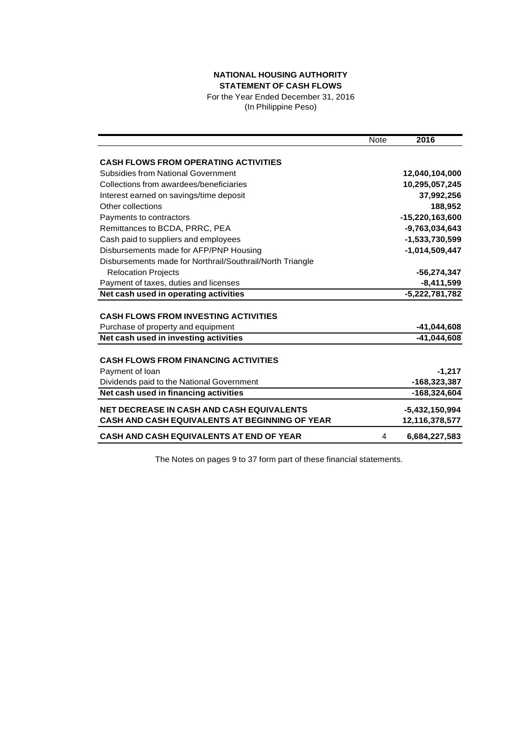# **NATIONAL HOUSING AUTHORITY STATEMENT OF CASH FLOWS**

For the Year Ended December 31, 2016 (In Philippine Peso)

|                                                           | Note | 2016             |
|-----------------------------------------------------------|------|------------------|
| <b>CASH FLOWS FROM OPERATING ACTIVITIES</b>               |      |                  |
| Subsidies from National Government                        |      | 12,040,104,000   |
| Collections from awardees/beneficiaries                   |      | 10,295,057,245   |
| Interest earned on savings/time deposit                   |      | 37,992,256       |
| Other collections                                         |      | 188,952          |
| Payments to contractors                                   |      | -15,220,163,600  |
| Remittances to BCDA, PRRC, PEA                            |      | -9.763.034.643   |
| Cash paid to suppliers and employees                      |      | -1,533,730,599   |
| Disbursements made for AFP/PNP Housing                    |      | $-1,014,509,447$ |
| Disbursements made for Northrail/Southrail/North Triangle |      |                  |
| <b>Relocation Projects</b>                                |      | -56,274,347      |
| Payment of taxes, duties and licenses                     |      | $-8,411,599$     |
| Net cash used in operating activities                     |      | $-5,222,781,782$ |
|                                                           |      |                  |
| <b>CASH FLOWS FROM INVESTING ACTIVITIES</b>               |      |                  |
| Purchase of property and equipment                        |      | -41,044,608      |
| Net cash used in investing activities                     |      | $-41,044,608$    |
| <b>CASH FLOWS FROM FINANCING ACTIVITIES</b>               |      |                  |
| Payment of Ioan                                           |      | $-1,217$         |
| Dividends paid to the National Government                 |      | $-168,323,387$   |
| Net cash used in financing activities                     |      | -168,324,604     |
|                                                           |      |                  |
| <b>NET DECREASE IN CASH AND CASH EQUIVALENTS</b>          |      | $-5,432,150,994$ |
| <b>CASH AND CASH EQUIVALENTS AT BEGINNING OF YEAR</b>     |      | 12,116,378,577   |
| <b>CASH AND CASH EQUIVALENTS AT END OF YEAR</b>           | 4    | 6.684,227,583    |